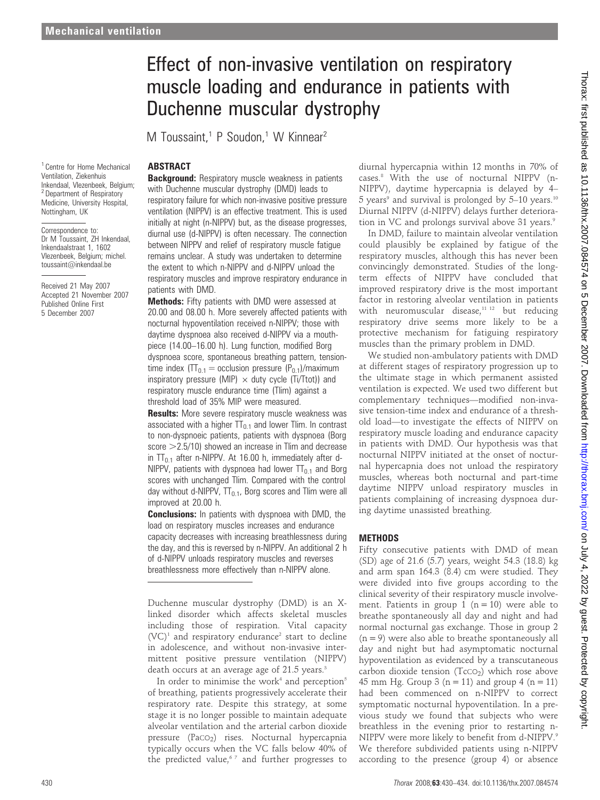# Effect of non-invasive ventilation on respiratory muscle loading and endurance in patients with Duchenne muscular dystrophy

M Toussaint,<sup>1</sup> P Soudon,<sup>1</sup> W Kinnear<sup>2</sup>

# ABSTRACT

<sup>1</sup> Centre for Home Mechanical Ventilation, Ziekenhuis Inkendaal, Vlezenbeek, Belgium; <sup>2</sup> Department of Respiratory Medicine, University Hospital, Nottingham, UK

Correspondence to: Dr M Toussaint, ZH Inkendaal, Inkendaalstraat 1, 1602 Vlezenbeek, Belgium; michel. toussaint@inkendaal.be

Received 21 May 2007 Accepted 21 November 2007 Published Online First 5 December 2007

**Background:** Respiratory muscle weakness in patients with Duchenne muscular dystrophy (DMD) leads to respiratory failure for which non-invasive positive pressure ventilation (NIPPV) is an effective treatment. This is used initially at night (n-NIPPV) but, as the disease progresses, diurnal use (d-NIPPV) is often necessary. The connection between NIPPV and relief of respiratory muscle fatigue remains unclear. A study was undertaken to determine the extent to which n-NIPPV and d-NIPPV unload the respiratory muscles and improve respiratory endurance in patients with DMD.

Methods: Fifty patients with DMD were assessed at 20.00 and 08.00 h. More severely affected patients with nocturnal hypoventilation received n-NIPPV; those with daytime dyspnoea also received d-NIPPV via a mouthpiece (14.00–16.00 h). Lung function, modified Borg dyspnoea score, spontaneous breathing pattern, tensiontime index  $(TT_{0.1} =$  occlusion pressure  $(P_{0.1})$ /maximum inspiratory pressure (MIP)  $\times$  duty cycle (Ti/Ttot)) and respiratory muscle endurance time (Tlim) against a threshold load of 35% MIP were measured.

**Results:** More severe respiratory muscle weakness was associated with a higher  $TT<sub>0.1</sub>$  and lower Tlim. In contrast to non-dyspnoeic patients, patients with dyspnoea (Borg score  $>$  2.5/10) showed an increase in Tlim and decrease in  $TT_{0.1}$  after n-NIPPV. At 16.00 h, immediately after d-NIPPV, patients with dyspnoea had lower  $TT<sub>0.1</sub>$  and Borg scores with unchanged Tlim. Compared with the control day without d-NIPPV,  $TT_{0.1}$ , Borg scores and Tlim were all improved at 20.00 h.

**Conclusions:** In patients with dyspnoea with DMD, the load on respiratory muscles increases and endurance capacity decreases with increasing breathlessness during the day, and this is reversed by n-NIPPV. An additional 2 h of d-NIPPV unloads respiratory muscles and reverses breathlessness more effectively than n-NIPPV alone.

Duchenne muscular dystrophy (DMD) is an Xlinked disorder which affects skeletal muscles including those of respiration. Vital capacity  $(VC)^1$  and respiratory endurance<sup>2</sup> start to decline in adolescence, and without non-invasive intermittent positive pressure ventilation (NIPPV) death occurs at an average age of 21.5 years.<sup>3</sup>

In order to minimise the work<sup>4</sup> and perception<sup>5</sup> of breathing, patients progressively accelerate their respiratory rate. Despite this strategy, at some stage it is no longer possible to maintain adequate alveolar ventilation and the arterial carbon dioxide pressure (PaCO<sub>2</sub>) rises. Nocturnal hypercapnia typically occurs when the VC falls below 40% of the predicted value, $67$  and further progresses to diurnal hypercapnia within 12 months in 70% of cases.8 With the use of nocturnal NIPPV (n-NIPPV), daytime hypercapnia is delayed by 4– 5 years<sup>9</sup> and survival is prolonged by  $5-10$  years.<sup>10</sup> Diurnal NIPPV (d-NIPPV) delays further deterioration in VC and prolongs survival above 31 years.<sup>9</sup>

In DMD, failure to maintain alveolar ventilation could plausibly be explained by fatigue of the respiratory muscles, although this has never been convincingly demonstrated. Studies of the longterm effects of NIPPV have concluded that improved respiratory drive is the most important factor in restoring alveolar ventilation in patients with neuromuscular disease, $11 12$  but reducing respiratory drive seems more likely to be a protective mechanism for fatiguing respiratory muscles than the primary problem in DMD.

We studied non-ambulatory patients with DMD at different stages of respiratory progression up to the ultimate stage in which permanent assisted ventilation is expected. We used two different but complementary techniques—modified non-invasive tension-time index and endurance of a threshold load—to investigate the effects of NIPPV on respiratory muscle loading and endurance capacity in patients with DMD. Our hypothesis was that nocturnal NIPPV initiated at the onset of nocturnal hypercapnia does not unload the respiratory muscles, whereas both nocturnal and part-time daytime NIPPV unload respiratory muscles in patients complaining of increasing dyspnoea during daytime unassisted breathing.

### METHODS

Fifty consecutive patients with DMD of mean (SD) age of 21.6 (5.7) years, weight 54.3 (18.8) kg and arm span 164.3 (8.4) cm were studied. They were divided into five groups according to the clinical severity of their respiratory muscle involvement. Patients in group 1 ( $n = 10$ ) were able to breathe spontaneously all day and night and had normal nocturnal gas exchange. Those in group 2  $(n = 9)$  were also able to breathe spontaneously all day and night but had asymptomatic nocturnal hypoventilation as evidenced by a transcutaneous carbon dioxide tension  $(TccO<sub>2</sub>)$  which rose above 45 mm Hg. Group 3 ( $n = 11$ ) and group 4 ( $n = 11$ ) had been commenced on n-NIPPV to correct symptomatic nocturnal hypoventilation. In a previous study we found that subjects who were breathless in the evening prior to restarting n-NIPPV were more likely to benefit from d-NIPPV.9 We therefore subdivided patients using n-NIPPV according to the presence (group 4) or absence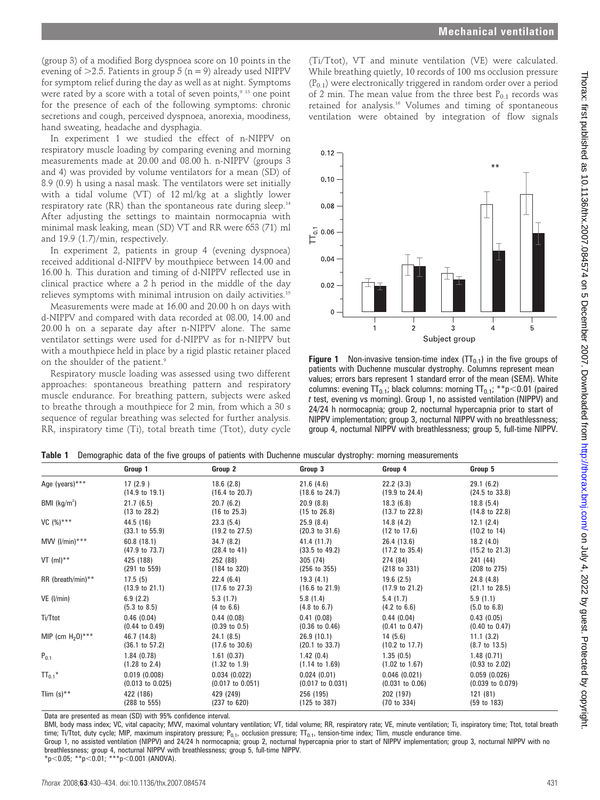(group 3) of a modified Borg dyspnoea score on 10 points in the evening of  $>2.5$ . Patients in group 5 (n = 9) already used NIPPV for symptom relief during the day as well as at night. Symptoms were rated by a score with a total of seven points,<sup>9 13</sup> one point for the presence of each of the following symptoms: chronic secretions and cough, perceived dyspnoea, anorexia, moodiness, hand sweating, headache and dysphagia.

In experiment 1 we studied the effect of n-NIPPV on respiratory muscle loading by comparing evening and morning measurements made at 20.00 and 08.00 h. n-NIPPV (groups 3 and 4) was provided by volume ventilators for a mean (SD) of 8.9 (0.9) h using a nasal mask. The ventilators were set initially with a tidal volume (VT) of 12 ml/kg at a slightly lower respiratory rate (RR) than the spontaneous rate during sleep.<sup>14</sup> After adjusting the settings to maintain normocapnia with minimal mask leaking, mean (SD) VT and RR were 653 (71) ml and 19.9 (1.7)/min, respectively.

In experiment 2, patients in group 4 (evening dyspnoea) received additional d-NIPPV by mouthpiece between 14.00 and 16.00 h. This duration and timing of d-NIPPV reflected use in clinical practice where a 2 h period in the middle of the day relieves symptoms with minimal intrusion on daily activities.<sup>15</sup>

Measurements were made at 16.00 and 20.00 h on days with d-NIPPV and compared with data recorded at 08.00, 14.00 and 20.00 h on a separate day after n-NIPPV alone. The same ventilator settings were used for d-NIPPV as for n-NIPPV but with a mouthpiece held in place by a rigid plastic retainer placed on the shoulder of the patient.<sup>9</sup>

Respiratory muscle loading was assessed using two different approaches: spontaneous breathing pattern and respiratory muscle endurance. For breathing pattern, subjects were asked to breathe through a mouthpiece for 2 min, from which a 30 s sequence of regular breathing was selected for further analysis. RR, inspiratory time (Ti), total breath time (Ttot), duty cycle

(Ti/Ttot), VT and minute ventilation (VE) were calculated. While breathing quietly, 10 records of 100 ms occlusion pressure  $(P_{0.1})$  were electronically triggered in random order over a period of 2 min. The mean value from the three best  $P_{0,1}$  records was retained for analysis.16 Volumes and timing of spontaneous ventilation were obtained by integration of flow signals



**Figure 1** Non-invasive tension-time index  $(TT_{0.1})$  in the five groups of patients with Duchenne muscular dystrophy. Columns represent mean values; errors bars represent 1 standard error of the mean (SEM). White columns: evening  $TT_{0.1}$ ; black columns: morning  $TT_{0.1}$ ; \*\*p $<$ 0.01 (paired t test, evening vs morning). Group 1, no assisted ventilation (NIPPV) and 24/24 h normocapnia; group 2, nocturnal hypercapnia prior to start of NIPPV implementation; group 3, nocturnal NIPPV with no breathlessness; group 4, nocturnal NIPPV with breathlessness; group 5, full-time NIPPV.

| Table 1 Demographic data of the five groups of patients with Duchenne muscular dystrophy: morning measurements |  |  |  |  |
|----------------------------------------------------------------------------------------------------------------|--|--|--|--|
|                                                                                                                |  |  |  |  |

|                          | Group 1                     | Group 2                     | Group 3                     | Group 4                    | Group 5                     |
|--------------------------|-----------------------------|-----------------------------|-----------------------------|----------------------------|-----------------------------|
| Age (years)***           | 17(2.9)                     | 18.6(2.8)                   | 21.6(4.6)                   | 22.2(3.3)                  | 29.1(6.2)                   |
|                          | $(14.9 \text{ to } 19.1)$   | $(16.4 \text{ to } 20.7)$   | $(18.6 \text{ to } 24.7)$   | $(19.9 \text{ to } 24.4)$  | $(24.5 \text{ to } 33.8)$   |
| BMI $(kg/m2)$            | 21.7(6.5)                   | 20.7(6.2)                   | 20.9(8.8)                   | 18.3(6.8)                  | 18.8(5.4)                   |
|                          | $(13 \text{ to } 28.2)$     | $(16 \text{ to } 25.3)$     | $(15 \text{ to } 26.8)$     | $(13.7 \text{ to } 22.8)$  | $(14.8 \text{ to } 22.8)$   |
| $VC (%)***$              | 44.5 (16)                   | 23.3(5.4)                   | 25.9(8.4)                   | 14.8(4.2)                  | 12.1(2.4)                   |
|                          | $(33.1 \text{ to } 55.9)$   | $(19.2 \text{ to } 27.5)$   | $(20.3 \text{ to } 31.6)$   | $(12 \text{ to } 17.6)$    | $(10.2 \text{ to } 14)$     |
| MVV $(l/min)***$         | 60.8(18.1)                  | 34.7(8.2)                   | 41.4 (11.7)                 | 26.4 (13.6)                | 18.2(4.0)                   |
|                          | $(47.9 \text{ to } 73.7)$   | $(28.4 \text{ to } 41)$     | $(33.5 \text{ to } 49.2)$   | $(17.2 \text{ to } 35.4)$  | $(15.2 \text{ to } 21.3)$   |
| VT $(mI)^{**}$           | 425 (188)                   | 252 (88)                    | 305 (74)                    | 274 (84)                   | 241 (44)                    |
|                          | (291 to 559)                | $(184 \text{ to } 320)$     | (256 to 355)                | (218 to 331)               | (208 to 275)                |
| RR (breath/min)**        | 17.5(5)                     | 22.4(6.4)                   | 19.3(4.1)                   | 19.6(2.5)                  | 24.8(4.8)                   |
|                          | $(13.9 \text{ to } 21.1)$   | $(17.6 \text{ to } 27.3)$   | $(16.6 \text{ to } 21.9)$   | $(17.9 \text{ to } 21.2)$  | $(21.1 \text{ to } 28.5)$   |
| $VE$ ( $I/min$ )         | 6.9(2.2)                    | 5.3(1.7)                    | 5.8(1.4)                    | 5.4(1.7)                   | 5.9(1.1)                    |
|                          | $(5.3 \text{ to } 8.5)$     | $(4 \text{ to } 6.6)$       | $(4.8 \text{ to } 6.7)$     | $(4.2 \text{ to } 6.6)$    | $(5.0 \text{ to } 6.8)$     |
| Ti/Ttot                  | 0.46(0.04)                  | 0.44(0.08)                  | 0.41(0.08)                  | 0.44(0.04)                 | 0.43(0.05)                  |
|                          | $(0.44 \text{ to } 0.49)$   | $(0.39 \text{ to } 0.5)$    | $(0.36 \text{ to } 0.46)$   | $(0.41 \text{ to } 0.47)$  | $(0.40 \text{ to } 0.47)$   |
| MIP (cm $H_20$ )***      | 46.7 (14.8)                 | 24.1(8.5)                   | 26.9(10.1)                  | 14(5.6)                    | 11.1(3.2)                   |
|                          | $(36.1 \text{ to } 57.2)$   | $(17.6 \text{ to } 30.6)$   | $(20.1 \text{ to } 33.7)$   | $(10.2 \text{ to } 17.7)$  | $(8.7 \text{ to } 13.5)$    |
| $P_{0.1}$                | 1.84(0.78)                  | 1.61(0.37)                  | 1.42(0.4)                   | 1.35(0.5)                  | 1.48(0.71)                  |
|                          | $(1.28 \text{ to } 2.4)$    | $(1.32 \text{ to } 1.9)$    | $(1.14 \text{ to } 1.69)$   | $(1.02 \text{ to } 1.67)$  | $(0.93 \text{ to } 2.02)$   |
| $TT_{0.1}$ *             | 0.019(0.008)                | 0.034(0.022)                | 0.024(0.01)                 | 0.046(0.021)               | 0.059(0.026)                |
|                          | $(0.013 \text{ to } 0.025)$ | $(0.017 \text{ to } 0.051)$ | $(0.017 \text{ to } 0.031)$ | $(0.031 \text{ to } 0.06)$ | $(0.039 \text{ to } 0.079)$ |
| Tlim $(s)$ <sup>**</sup> | 422 (186)                   | 429 (249)                   | 256 (195)                   | 202 (197)                  | 121 (81)                    |
|                          | (288 to 555)                | (237 to 620)                | (125 to 387)                | (70 to 334)                | $(59 \text{ to } 183)$      |

Data are presented as mean (SD) with 95% confidence interval.

BMI, body mass index; VC, vital capacity; MVV, maximal voluntary ventilation; VT, tidal volume; RR, respiratory rate; VE, minute ventilation; Ti, inspiratory time; Ttot, total breath time; Ti/Ttot, duty cycle; MIP, maximum inspiratory pressure; P<sub>0.1</sub>, occlusion pressure; TT<sub>0.1</sub>, tension-time index; Tlim, muscle endurance time.

Group 1, no assisted ventilation (NIPPV) and 24/24 h normocapnia; group 2, nocturnal hypercapnia prior to start of NIPPV implementation; group 3, nocturnal NIPPV with no breathlessness; group 4, nocturnal NIPPV with breathlessness; group 5, full-time NIPPV.

 $*p$ <0.05; \*\*p<0.01; \*\*\*p<0.001 (ANOVA).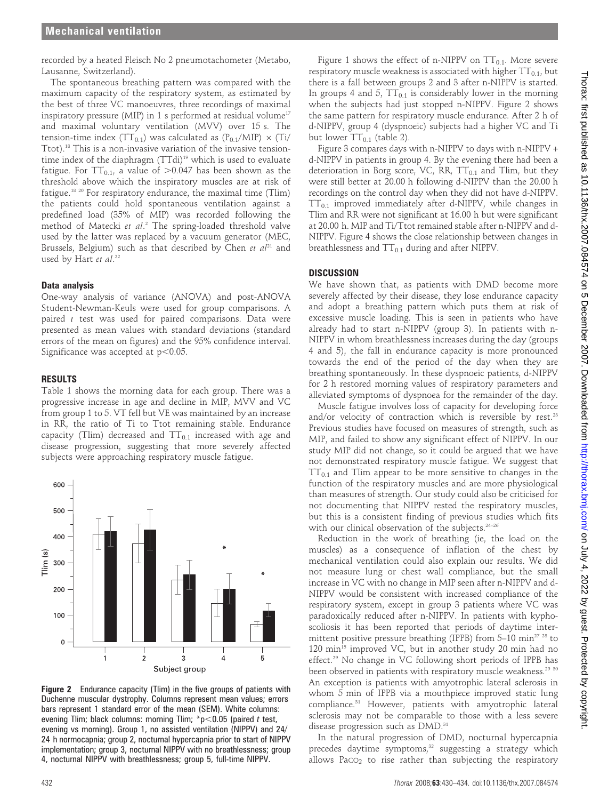recorded by a heated Fleisch No 2 pneumotachometer (Metabo, Lausanne, Switzerland).

The spontaneous breathing pattern was compared with the maximum capacity of the respiratory system, as estimated by the best of three VC manoeuvres, three recordings of maximal inspiratory pressure (MIP) in 1 s performed at residual volume<sup>17</sup> and maximal voluntary ventilation (MVV) over 15 s. The tension-time index (TT<sub>0.1</sub>) was calculated as  $(P_{0.1}/MIP) \times (Ti/$ Ttot).18 This is a non-invasive variation of the invasive tensiontime index of the diaphragm (TTdi)<sup>19</sup> which is used to evaluate fatigue. For  $TT_{0.1}$ , a value of  $>0.047$  has been shown as the threshold above which the inspiratory muscles are at risk of fatigue.18 20 For respiratory endurance, the maximal time (Tlim) the patients could hold spontaneous ventilation against a predefined load (35% of MIP) was recorded following the method of Matecki et al. <sup>2</sup> The spring-loaded threshold valve used by the latter was replaced by a vacuum generator (MEC, Brussels, Belgium) such as that described by Chen et  $al^{21}$  and used by Hart et al.<sup>22</sup>

#### Data analysis

One-way analysis of variance (ANOVA) and post-ANOVA Student-Newman-Keuls were used for group comparisons. A paired  $t$  test was used for paired comparisons. Data were presented as mean values with standard deviations (standard errors of the mean on figures) and the 95% confidence interval. Significance was accepted at  $p<0.05$ .

#### RESULTS

Table 1 shows the morning data for each group. There was a progressive increase in age and decline in MIP, MVV and VC from group 1 to 5. VT fell but VE was maintained by an increase in RR, the ratio of Ti to Ttot remaining stable. Endurance capacity (Tlim) decreased and  $TT_{0.1}$  increased with age and disease progression, suggesting that more severely affected subjects were approaching respiratory muscle fatigue.



Figure 2 Endurance capacity (Tlim) in the five groups of patients with Duchenne muscular dystrophy. Columns represent mean values; errors bars represent 1 standard error of the mean (SEM). White columns: evening Tlim; black columns: morning Tlim; \*p $<$ 0.05 (paired t test, evening vs morning). Group 1, no assisted ventilation (NIPPV) and 24/ 24 h normocapnia; group 2, nocturnal hypercapnia prior to start of NIPPV implementation; group 3, nocturnal NIPPV with no breathlessness; group 4, nocturnal NIPPV with breathlessness; group 5, full-time NIPPV.

Figure 1 shows the effect of n-NIPPV on  $TT_{0.1}$ . More severe respiratory muscle weakness is associated with higher  $TT_{0.1}$ , but there is a fall between groups 2 and 3 after n-NIPPV is started. In groups 4 and 5,  $TT<sub>0.1</sub>$  is considerably lower in the morning when the subjects had just stopped n-NIPPV. Figure 2 shows the same pattern for respiratory muscle endurance. After 2 h of d-NIPPV, group 4 (dyspnoeic) subjects had a higher VC and Ti but lower  $TT_{0.1}$  (table 2).

Figure 3 compares days with n-NIPPV to days with n-NIPPV + d-NIPPV in patients in group 4. By the evening there had been a deterioration in Borg score, VC, RR,  $TT_{0.1}$  and Tlim, but they were still better at 20.00 h following d-NIPPV than the 20.00 h recordings on the control day when they did not have d-NIPPV.  $TT<sub>0.1</sub>$  improved immediately after d-NIPPV, while changes in Tlim and RR were not significant at 16.00 h but were significant at 20.00 h. MIP and Ti/Ttot remained stable after n-NIPPV and d-NIPPV. Figure 4 shows the close relationship between changes in breathlessness and  $TT<sub>0.1</sub>$  during and after NIPPV.

## **DISCUSSION**

We have shown that, as patients with DMD become more severely affected by their disease, they lose endurance capacity and adopt a breathing pattern which puts them at risk of excessive muscle loading. This is seen in patients who have already had to start n-NIPPV (group 3). In patients with n-NIPPV in whom breathlessness increases during the day (groups 4 and 5), the fall in endurance capacity is more pronounced towards the end of the period of the day when they are breathing spontaneously. In these dyspnoeic patients, d-NIPPV for 2 h restored morning values of respiratory parameters and alleviated symptoms of dyspnoea for the remainder of the day.

Muscle fatigue involves loss of capacity for developing force and/or velocity of contraction which is reversible by rest. $23$ Previous studies have focused on measures of strength, such as MIP, and failed to show any significant effect of NIPPV. In our study MIP did not change, so it could be argued that we have not demonstrated respiratory muscle fatigue. We suggest that  $TT_{0.1}$  and Tlim appear to be more sensitive to changes in the function of the respiratory muscles and are more physiological than measures of strength. Our study could also be criticised for not documenting that NIPPV rested the respiratory muscles, but this is a consistent finding of previous studies which fits with our clinical observation of the subjects.<sup>24-26</sup>

Reduction in the work of breathing (ie, the load on the muscles) as a consequence of inflation of the chest by mechanical ventilation could also explain our results. We did not measure lung or chest wall compliance, but the small increase in VC with no change in MIP seen after n-NIPPV and d-NIPPV would be consistent with increased compliance of the respiratory system, except in group 3 patients where VC was paradoxically reduced after n-NIPPV. In patients with kyphoscoliosis it has been reported that periods of daytime intermittent positive pressure breathing (IPPB) from  $5-10$  min<sup>27 28</sup> to 120 min<sup>15</sup> improved VC, but in another study 20 min had no effect.29 No change in VC following short periods of IPPB has been observed in patients with respiratory muscle weakness.<sup>29 30</sup> An exception is patients with amyotrophic lateral sclerosis in whom 5 min of IPPB via a mouthpiece improved static lung compliance.31 However, patients with amyotrophic lateral sclerosis may not be comparable to those with a less severe disease progression such as DMD.<sup>31</sup>

In the natural progression of DMD, nocturnal hypercapnia precedes daytime symptoms,<sup>32</sup> suggesting a strategy which allows  $PaCO<sub>2</sub>$  to rise rather than subjecting the respiratory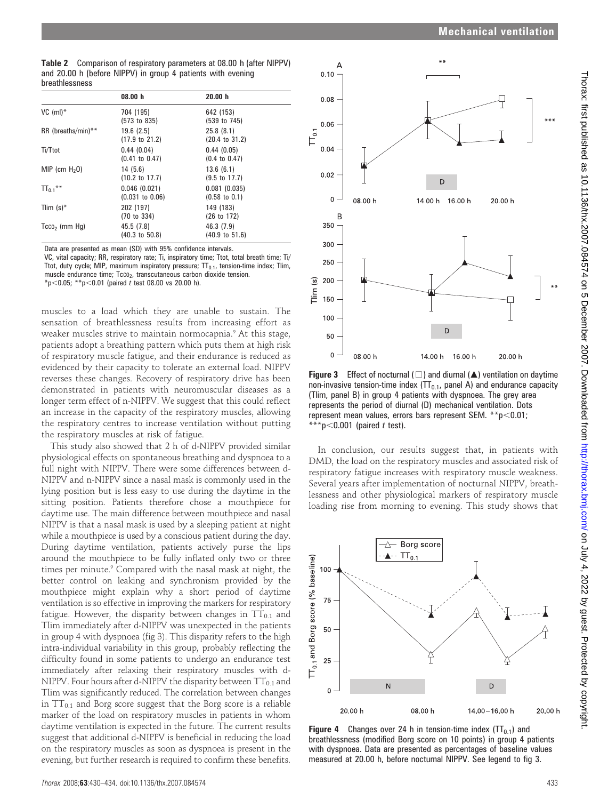Thorax: first published as 10.1136/thx.2007.084574 on 5 December 2007. Downloaded from http://thorax.bmj.com/ on July 4, 2022 by guest. Protected by copyright on July 4, 2022 by guest. Protected by copyright. <http://thorax.bmj.com/> Thorax: first published as 10.1136/thx.2007.084574 on 5 December 2007. Downloaded from

|                | <b>Table 2</b> Comparison of respiratory parameters at 08.00 h (after NIPPV) |
|----------------|------------------------------------------------------------------------------|
|                | and 20.00 h (before NIPPV) in group 4 patients with evening                  |
| breathlessness |                                                                              |

|                    | 08.00 h                                    | 20.00 h                                  |
|--------------------|--------------------------------------------|------------------------------------------|
| VC $(m!)^*$        | 704 (195)<br>(573 to 835)                  | 642 (153)<br>(539 to 745)                |
| RR (breaths/min)** | 19.6(2.5)<br>$(17.9 \text{ to } 21.2)$     | 25.8(8.1)<br>$(20.4 \text{ to } 31.2)$   |
| Ti/Ttot            | 0.44(0.04)<br>$(0.41 \text{ to } 0.47)$    | 0.44(0.05)<br>$(0.4 \text{ to } 0.47)$   |
| MIP (cm $H_2$ 0)   | 14(5.6)<br>$(10.2 \text{ to } 17.7)$       | 13.6(6.1)<br>$(9.5 \text{ to } 17.7)$    |
| $TT_{0.1}$ **      | 0.046(0.021)<br>$(0.031 \text{ to } 0.06)$ | 0.081(0.035)<br>$(0.58 \text{ to } 0.1)$ |
| Tlim $(s)^*$       | 202 (197)<br>(70 to 334)                   | 149 (183)<br>(26 to 172)                 |
| $Tcc0$ (mm Hg)     | 45.5 (7.8)<br>$(40.3 \text{ to } 50.8)$    | 46.3 (7.9)<br>$(40.9 \text{ to } 51.6)$  |

Data are presented as mean (SD) with 95% confidence intervals.

VC, vital capacity; RR, respiratory rate; Ti, inspiratory time; Ttot, total breath time; Ti/ Ttot, duty cycle; MIP, maximum inspiratory pressure;  $TT<sub>0.1</sub>$ , tension-time index; Tlim, muscle endurance time; Tcco<sub>2</sub>, transcutaneous carbon dioxide tension. \*p<0.05; \*\*p<0.01 (paired t test 08.00 vs 20.00 h).

muscles to a load which they are unable to sustain. The sensation of breathlessness results from increasing effort as weaker muscles strive to maintain normocapnia.<sup>9</sup> At this stage, patients adopt a breathing pattern which puts them at high risk of respiratory muscle fatigue, and their endurance is reduced as evidenced by their capacity to tolerate an external load. NIPPV reverses these changes. Recovery of respiratory drive has been demonstrated in patients with neuromuscular diseases as a longer term effect of n-NIPPV. We suggest that this could reflect an increase in the capacity of the respiratory muscles, allowing the respiratory centres to increase ventilation without putting the respiratory muscles at risk of fatigue.

This study also showed that 2 h of d-NIPPV provided similar physiological effects on spontaneous breathing and dyspnoea to a full night with NIPPV. There were some differences between d-NIPPV and n-NIPPV since a nasal mask is commonly used in the lying position but is less easy to use during the daytime in the sitting position. Patients therefore chose a mouthpiece for daytime use. The main difference between mouthpiece and nasal NIPPV is that a nasal mask is used by a sleeping patient at night while a mouthpiece is used by a conscious patient during the day. During daytime ventilation, patients actively purse the lips around the mouthpiece to be fully inflated only two or three times per minute.<sup>9</sup> Compared with the nasal mask at night, the better control on leaking and synchronism provided by the mouthpiece might explain why a short period of daytime ventilation is so effective in improving the markers for respiratory fatigue. However, the disparity between changes in  $TT_{0.1}$  and Tlim immediately after d-NIPPV was unexpected in the patients in group 4 with dyspnoea (fig 3). This disparity refers to the high intra-individual variability in this group, probably reflecting the difficulty found in some patients to undergo an endurance test immediately after relaxing their respiratory muscles with d-NIPPV. Four hours after d-NIPPV the disparity between  $TT_{0.1}$  and Tlim was significantly reduced. The correlation between changes in  $TT<sub>0.1</sub>$  and Borg score suggest that the Borg score is a reliable marker of the load on respiratory muscles in patients in whom daytime ventilation is expected in the future. The current results suggest that additional d-NIPPV is beneficial in reducing the load on the respiratory muscles as soon as dyspnoea is present in the evening, but further research is required to confirm these benefits.



**Figure 3** Effect of nocturnal ( $\Box$ ) and diurnal ( $\triangle$ ) ventilation on daytime non-invasive tension-time index  $(TT<sub>0.1</sub>,$  panel A) and endurance capacity (Tlim, panel B) in group 4 patients with dyspnoea. The grey area represents the period of diurnal (D) mechanical ventilation. Dots represent mean values, errors bars represent SEM. \*\*p $<$ 0.01;  $A^*$ p $<$ 0.001 (paired t test).

In conclusion, our results suggest that, in patients with DMD, the load on the respiratory muscles and associated risk of respiratory fatigue increases with respiratory muscle weakness. Several years after implementation of nocturnal NIPPV, breathlessness and other physiological markers of respiratory muscle loading rise from morning to evening. This study shows that



**Figure 4** Changes over 24 h in tension-time index  $(TT<sub>0.1</sub>)$  and breathlessness (modified Borg score on 10 points) in group 4 patients with dyspnoea. Data are presented as percentages of baseline values measured at 20.00 h, before nocturnal NIPPV. See legend to fig 3.